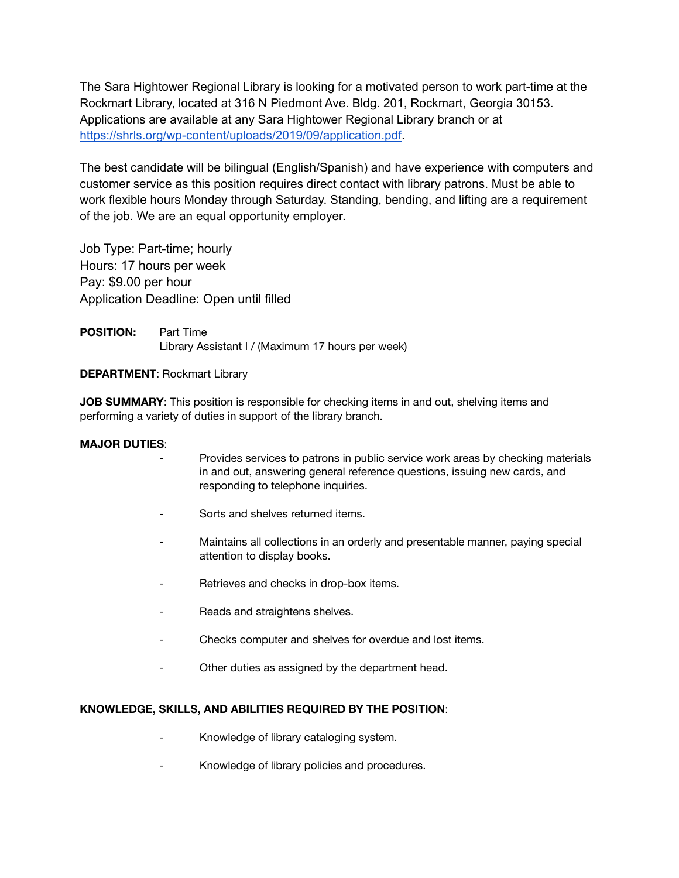The Sara Hightower Regional Library is looking for a motivated person to work part-time at the Rockmart Library, located at 316 N Piedmont Ave. Bldg. 201, Rockmart, Georgia 30153. Applications are available at any Sara Hightower Regional Library branch or at <https://shrls.org/wp-content/uploads/2019/09/application.pdf>.

The best candidate will be bilingual (English/Spanish) and have experience with computers and customer service as this position requires direct contact with library patrons. Must be able to work flexible hours Monday through Saturday. Standing, bending, and lifting are a requirement of the job. We are an equal opportunity employer.

Job Type: Part-time; hourly Hours: 17 hours per week Pay: \$9.00 per hour Application Deadline: Open until filled

**POSITION:** Part Time Library Assistant I / (Maximum 17 hours per week)

## **DEPARTMENT**: Rockmart Library

**JOB SUMMARY**: This position is responsible for checking items in and out, shelving items and performing a variety of duties in support of the library branch.

## **MAJOR DUTIES**:

- Provides services to patrons in public service work areas by checking materials in and out, answering general reference questions, issuing new cards, and responding to telephone inquiries.
- Sorts and shelves returned items.
- Maintains all collections in an orderly and presentable manner, paying special attention to display books.
- Retrieves and checks in drop-box items.
- Reads and straightens shelves.
- Checks computer and shelves for overdue and lost items.
- Other duties as assigned by the department head.

## **KNOWLEDGE, SKILLS, AND ABILITIES REQUIRED BY THE POSITION**:

- Knowledge of library cataloging system.
- Knowledge of library policies and procedures.